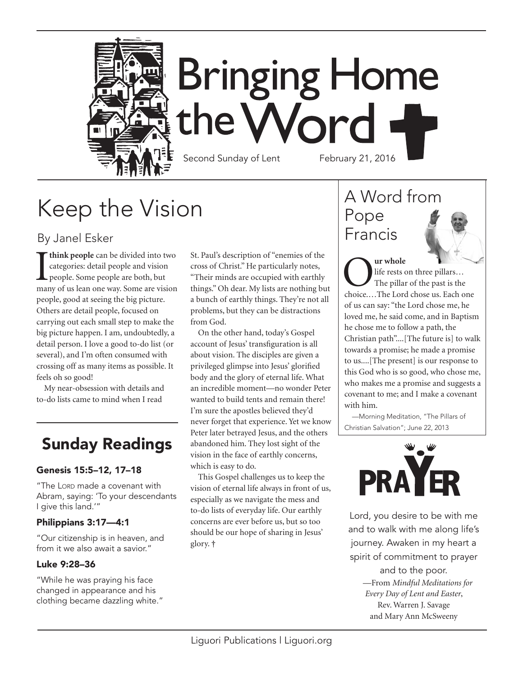

# Keep the Vision

### By Janel Esker

**T** think people can be divided into two categories: detail people and vision people. Some people are both, but many of us lean one way. Some are vision **think people** can be divided into two categories: detail people and vision people. Some people are both, but people, good at seeing the big picture. Others are detail people, focused on carrying out each small step to make the big picture happen. I am, undoubtedly, a detail person. I love a good to-do list (or several), and I'm often consumed with crossing off as many items as possible. It feels oh so good!

My near-obsession with details and to-do lists came to mind when I read

# Sunday Readings

#### Genesis 15:5–12, 17–18

"The Lorp made a covenant with Abram, saying: 'To your descendants I give this land.'"

#### Philippians 3:17—4:1

"Our citizenship is in heaven, and from it we also await a savior."

#### Luke 9:28–36

"While he was praying his face changed in appearance and his clothing became dazzling white." St. Paul's description of "enemies of the cross of Christ." He particularly notes, "Their minds are occupied with earthly things." Oh dear. My lists are nothing but a bunch of earthly things. They're not all problems, but they can be distractions from God.

On the other hand, today's Gospel account of Jesus' transfiguration is all about vision. The disciples are given a privileged glimpse into Jesus' glorified body and the glory of eternal life. What an incredible moment—no wonder Peter wanted to build tents and remain there! I'm sure the apostles believed they'd never forget that experience. Yet we know Peter later betrayed Jesus, and the others abandoned him. They lost sight of the vision in the face of earthly concerns, which is easy to do.

This Gospel challenges us to keep the vision of eternal life always in front of us, especially as we navigate the mess and to-do lists of everyday life. Our earthly concerns are ever before us, but so too should be our hope of sharing in Jesus' glory. **†**

# A Word from Pope Francis

**Our whole**<br>
life rests on three pillars...<br>
The pillar of the past is the<br>
choice....The Lord chose us. Each one life rests on three pillars… The pillar of the past is the of us can say: "the Lord chose me, he loved me, he said come, and in Baptism he chose me to follow a path, the Christian path"....[The future is] to walk towards a promise; he made a promise to us....[The present] is our response to this God who is so good, who chose me, who makes me a promise and suggests a covenant to me; and I make a covenant with him.

—Morning Meditation, "The Pillars of Christian Salvation"; June 22, 2013



Lord, you desire to be with me and to walk with me along life's journey. Awaken in my heart a spirit of commitment to prayer and to the poor. —From *Mindful Meditations for Every Day of Lent and Easter*, Rev. Warren J. Savage and Mary Ann McSweeny